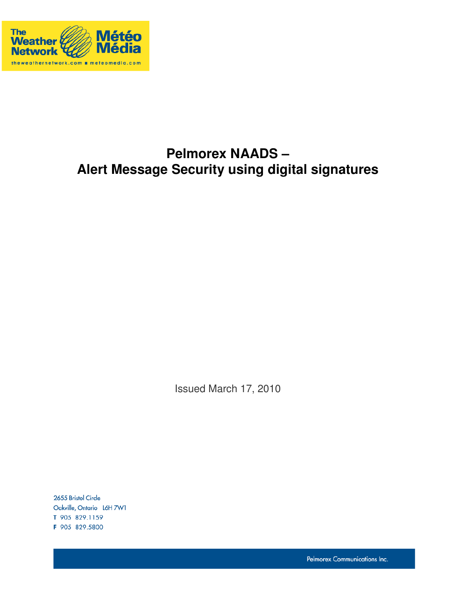

# **Pelmorex NAADS – Alert Message Security using digital signatures**

Issued March 17, 2010

2655 Bristol Circle Oakville, Ontario L6H 7W1 T 905 829.1159 F 905 829.5800

Pelmorex Communications Inc.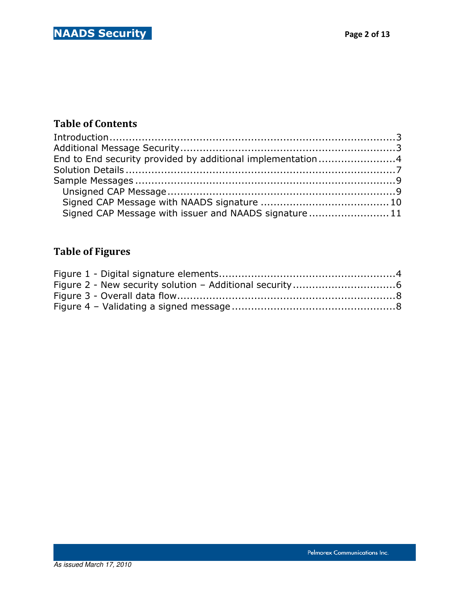### Table of Contents

| End to End security provided by additional implementation4 |  |
|------------------------------------------------------------|--|
|                                                            |  |
|                                                            |  |
|                                                            |  |
|                                                            |  |
| Signed CAP Message with issuer and NAADS signature 11      |  |

## Table of Figures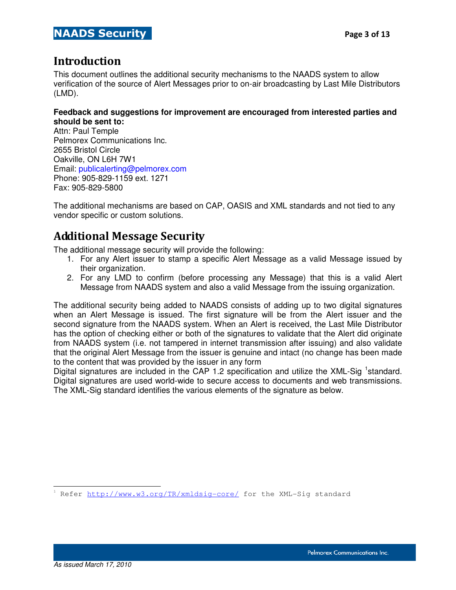### Introduction

Ξ

This document outlines the additional security mechanisms to the NAADS system to allow verification of the source of Alert Messages prior to on-air broadcasting by Last Mile Distributors (LMD).

#### **Feedback and suggestions for improvement are encouraged from interested parties and should be sent to:**

Attn: Paul Temple Pelmorex Communications Inc. 2655 Bristol Circle Oakville, ON L6H 7W1 Email: publicalerting@pelmorex.com Phone: 905-829-1159 ext. 1271 Fax: 905-829-5800

The additional mechanisms are based on CAP, OASIS and XML standards and not tied to any vendor specific or custom solutions.

### Additional Message Security

The additional message security will provide the following:

- 1. For any Alert issuer to stamp a specific Alert Message as a valid Message issued by their organization.
- 2. For any LMD to confirm (before processing any Message) that this is a valid Alert Message from NAADS system and also a valid Message from the issuing organization.

The additional security being added to NAADS consists of adding up to two digital signatures when an Alert Message is issued. The first signature will be from the Alert issuer and the second signature from the NAADS system. When an Alert is received, the Last Mile Distributor has the option of checking either or both of the signatures to validate that the Alert did originate from NAADS system (i.e. not tampered in internet transmission after issuing) and also validate that the original Alert Message from the issuer is genuine and intact (no change has been made to the content that was provided by the issuer in any form

Digital signatures are included in the CAP 1.2 specification and utilize the XML-Sig <sup>1</sup>standard. Digital signatures are used world-wide to secure access to documents and web transmissions. The XML-Sig standard identifies the various elements of the signature as below.

i<br>S 1 Refer http://www.w3.org/TR/xmldsig-core/ for the XML-Sig standard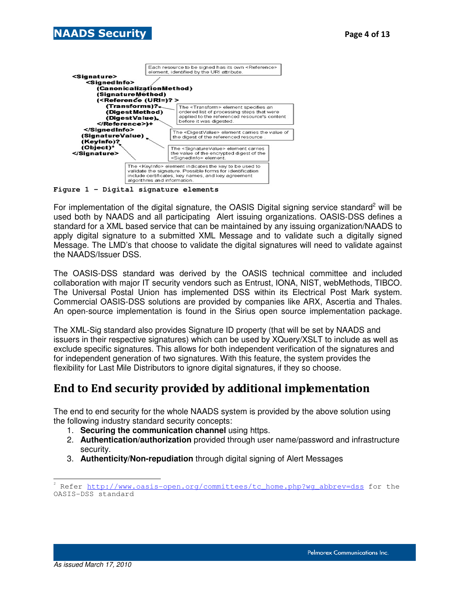



**Figure 1 - Digital signature elements**

For implementation of the digital signature, the OASIS Digital signing service standard<sup>2</sup> will be used both by NAADS and all participating Alert issuing organizations. OASIS-DSS defines a standard for a XML based service that can be maintained by any issuing organization/NAADS to apply digital signature to a submitted XML Message and to validate such a digitally signed Message. The LMD's that choose to validate the digital signatures will need to validate against the NAADS/Issuer DSS.

The OASIS-DSS standard was derived by the OASIS technical committee and included collaboration with major IT security vendors such as Entrust, IONA, NIST, webMethods, TIBCO. The Universal Postal Union has implemented DSS within its Electrical Post Mark system. Commercial OASIS-DSS solutions are provided by companies like ARX, Ascertia and Thales. An open-source implementation is found in the Sirius open source implementation package.

The XML-Sig standard also provides Signature ID property (that will be set by NAADS and issuers in their respective signatures) which can be used by XQuery/XSLT to include as well as exclude specific signatures. This allows for both independent verification of the signatures and for independent generation of two signatures. With this feature, the system provides the flexibility for Last Mile Distributors to ignore digital signatures, if they so choose.

### End to End security provided by additional implementation

The end to end security for the whole NAADS system is provided by the above solution using the following industry standard security concepts:

- 1. **Securing the communication channel** using https.
- 2. **Authentication/authorization** provided through user name/password and infrastructure security.
- 3. **Authenticity/Non-repudiation** through digital signing of Alert Messages

 $\frac{1}{2}$ Refer http://www.oasis-open.org/committees/tc\_home.php?wg\_abbrev=dss for the OASIS-DSS standard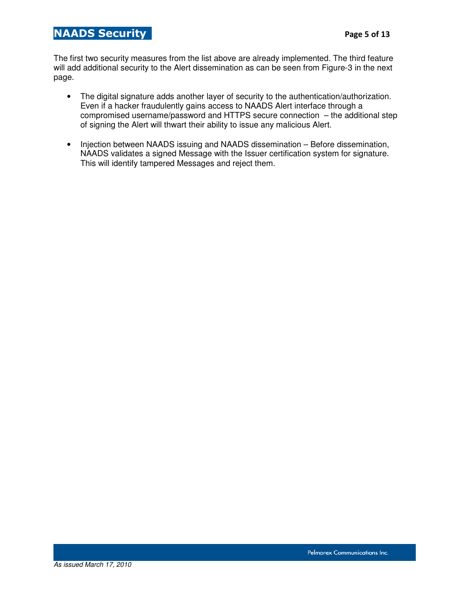#### NAADS Security **Page 5 of 13**

Ξ

The first two security measures from the list above are already implemented. The third feature will add additional security to the Alert dissemination as can be seen from Figure-3 in the next page.

- The digital signature adds another layer of security to the authentication/authorization. Even if a hacker fraudulently gains access to NAADS Alert interface through a compromised username/password and HTTPS secure connection – the additional step of signing the Alert will thwart their ability to issue any malicious Alert.
- Injection between NAADS issuing and NAADS dissemination Before dissemination, NAADS validates a signed Message with the Issuer certification system for signature. This will identify tampered Messages and reject them.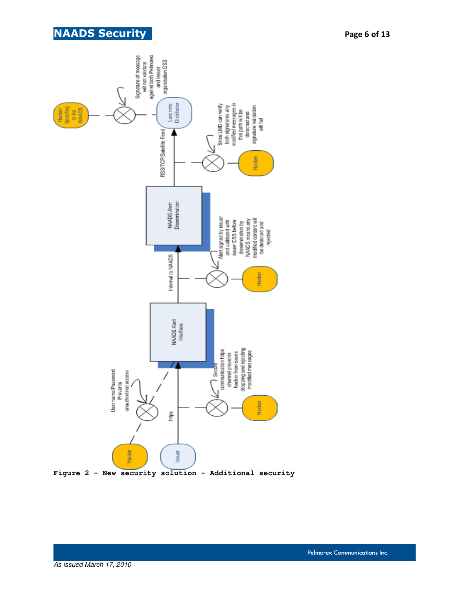



As issued March 17, 2010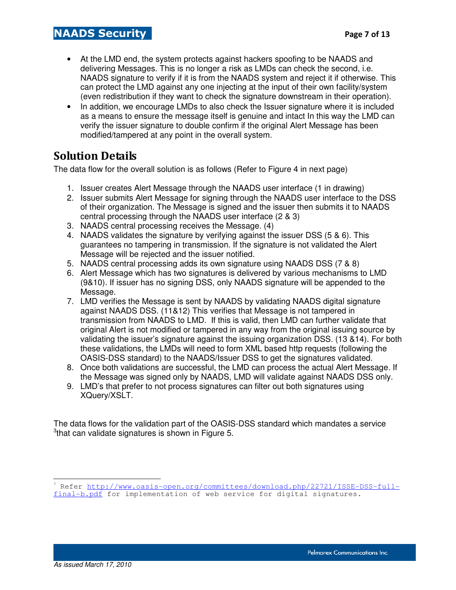- At the LMD end, the system protects against hackers spoofing to be NAADS and delivering Messages. This is no longer a risk as LMDs can check the second, i.e. NAADS signature to verify if it is from the NAADS system and reject it if otherwise. This can protect the LMD against any one injecting at the input of their own facility/system (even redistribution if they want to check the signature downstream in their operation).
- In addition, we encourage LMDs to also check the Issuer signature where it is included as a means to ensure the message itself is genuine and intact In this way the LMD can verify the issuer signature to double confirm if the original Alert Message has been modified/tampered at any point in the overall system.

## Solution Details

The data flow for the overall solution is as follows (Refer to Figure 4 in next page)

- 1. Issuer creates Alert Message through the NAADS user interface (1 in drawing)
- 2. Issuer submits Alert Message for signing through the NAADS user interface to the DSS of their organization. The Message is signed and the issuer then submits it to NAADS central processing through the NAADS user interface (2 & 3)
- 3. NAADS central processing receives the Message. (4)
- 4. NAADS validates the signature by verifying against the issuer DSS (5 & 6). This guarantees no tampering in transmission. If the signature is not validated the Alert Message will be rejected and the issuer notified.
- 5. NAADS central processing adds its own signature using NAADS DSS (7 & 8)
- 6. Alert Message which has two signatures is delivered by various mechanisms to LMD (9&10). If issuer has no signing DSS, only NAADS signature will be appended to the Message.
- 7. LMD verifies the Message is sent by NAADS by validating NAADS digital signature against NAADS DSS. (11&12) This verifies that Message is not tampered in transmission from NAADS to LMD. If this is valid, then LMD can further validate that original Alert is not modified or tampered in any way from the original issuing source by validating the issuer's signature against the issuing organization DSS. (13 &14). For both these validations, the LMDs will need to form XML based http requests (following the OASIS-DSS standard) to the NAADS/Issuer DSS to get the signatures validated.
- 8. Once both validations are successful, the LMD can process the actual Alert Message. If the Message was signed only by NAADS, LMD will validate against NAADS DSS only.
- 9. LMD's that prefer to not process signatures can filter out both signatures using XQuery/XSLT.

The data flows for the validation part of the OASIS-DSS standard which mandates a service <sup>3</sup>that can validate signatures is shown in Figure 5.

 $\frac{1}{3}$  Refer http://www.oasis-open.org/committees/download.php/22721/ISSE-DSS-fullfinal-b.pdf for implementation of web service for digital signatures.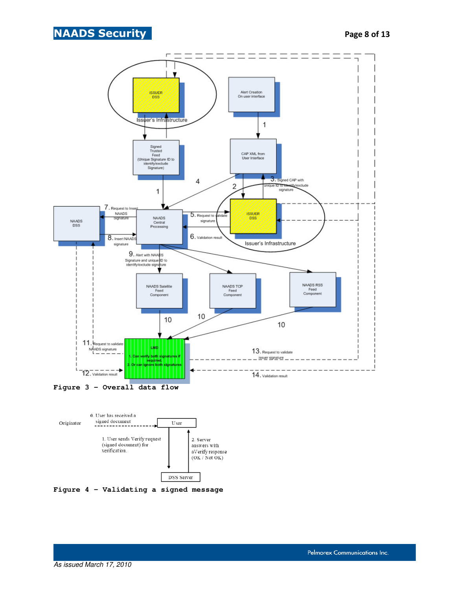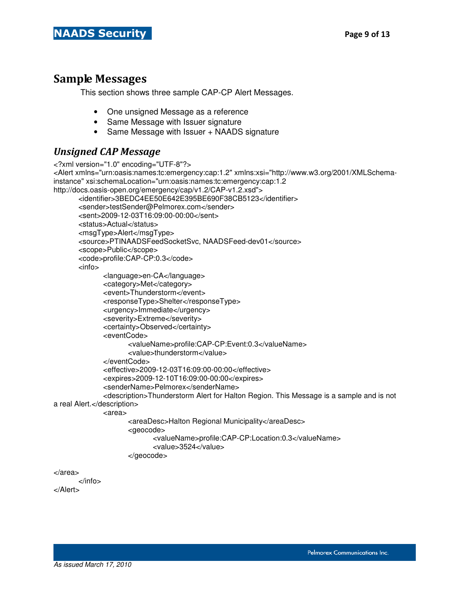### Sample Messages

This section shows three sample CAP-CP Alert Messages.

- One unsigned Message as a reference
- Same Message with Issuer signature
- Same Message with Issuer + NAADS signature

### Unsigned CAP Message

```
<?xml version="1.0" encoding="UTF-8"?>
<Alert xmlns="urn:oasis:names:tc:emergency:cap:1.2" xmlns:xsi="http://www.w3.org/2001/XMLSchema-
instance" xsi:schemaLocation="urn:oasis:names:tc:emergency:cap:1.2
http://docs.oasis-open.org/emergency/cap/v1.2/CAP-v1.2.xsd">
        <identifier>3BEDC4EE50E642E395BE690F38CB5123</identifier>
       <sender>testSender@Pelmorex.com</sender>
        <sent>2009-12-03T16:09:00-00:00</sent>
        <status>Actual</status>
        <msgType>Alert</msgType>
        <source>PTINAADSFeedSocketSvc, NAADSFeed-dev01</source>
        <scope>Public</scope>
        <code>profile:CAP-CP:0.3</code>
        <info>
               <language>en-CA</language>
               <category>Met</category>
               <event>Thunderstorm</event>
               <responseType>Shelter</responseType>
               <urgency>Immediate</urgency>
               <severity>Extreme</severity>
               <certainty>Observed</certainty>
               <eventCode>
                      <valueName>profile:CAP-CP:Event:0.3</valueName>
                      <value>thunderstorm</value>
               </eventCode>
               <effective>2009-12-03T16:09:00-00:00</effective>
               <expires>2009-12-10T16:09:00-00:00</expires>
               <senderName>Pelmorex</senderName>
               <description>Thunderstorm Alert for Halton Region. This Message is a sample and is not 
a real Alert.</description>
               <area>
                      <areaDesc>Halton Regional Municipality</areaDesc>
                      <geocode>
                             <valueName>profile:CAP-CP:Location:0.3</valueName>
                             <value>3524</value>
                      </geocode>
</area>
```
</info>

</Alert>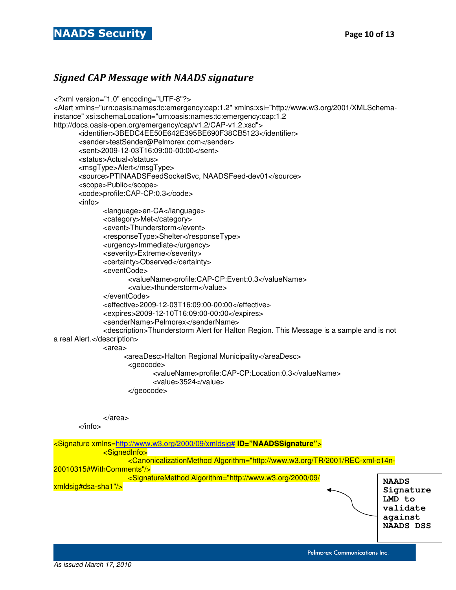#### Signed CAP Message with NAADS signature

```
<?xml version="1.0" encoding="UTF-8"?>
<Alert xmlns="urn:oasis:names:tc:emergency:cap:1.2" xmlns:xsi="http://www.w3.org/2001/XMLSchema-
instance" xsi:schemaLocation="urn:oasis:names:tc:emergency:cap:1.2
http://docs.oasis-open.org/emergency/cap/v1.2/CAP-v1.2.xsd">
        <identifier>3BEDC4EE50E642E395BE690F38CB5123</identifier>
        <sender>testSender@Pelmorex.com</sender>
        <sent>2009-12-03T16:09:00-00:00</sent>
        <status>Actual</status>
        <msgType>Alert</msgType>
        <source>PTINAADSFeedSocketSvc, NAADSFeed-dev01</source>
        <scope>Public</scope>
        <code>profile:CAP-CP:0.3</code>
        <info>
              <language>en-CA</language>
              <category>Met</category>
              <event>Thunderstorm</event>
              <responseType>Shelter</responseType>
              <urgency>Immediate</urgency>
              <severity>Extreme</severity>
              <certainty>Observed</certainty>
              <eventCode>
                     <valueName>profile:CAP-CP:Event:0.3</valueName>
                     <value>thunderstorm</value>
              </eventCode>
              <effective>2009-12-03T16:09:00-00:00</effective>
              <expires>2009-12-10T16:09:00-00:00</expires>
              <senderName>Pelmorex</senderName>
              <description>Thunderstorm Alert for Halton Region. This Message is a sample and is not 
a real Alert.</description>
              <area>
                    <areaDesc>Halton Regional Municipality</areaDesc>
                     <geocode>
                            <valueName>profile:CAP-CP:Location:0.3</valueName>
                            <value>3524</value>
                     </geocode> 
              </area>
        </info>
<Signature xmlns=http://www.w3.org/2000/09/xmldsig# ID="NAADSSignature">
              <SignedInfo>
                     <CanonicalizationMethod Algorithm="http://www.w3.org/TR/2001/REC-xml-c14n-
20010315#WithComments"/>
 <SignatureMethod Algorithm="http://www.w3.org/2000/09/
xmldsig#dsa-sha1"/> NAADS 
                                                                                           Signature 
                                                                                           LMD to 
                                                                                           validate 
                                                                                           against
```
Pelmorex Communications Inc.

**NAADS DSS**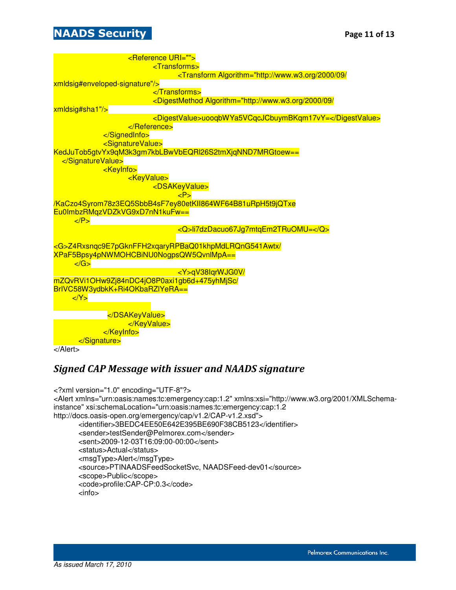### **NAADS Security Page 11 of 13**

Ξ



```
</Alert>
```
#### Signed CAP Message with issuer and NAADS signature

```
<?xml version="1.0" encoding="UTF-8"?>
<Alert xmlns="urn:oasis:names:tc:emergency:cap:1.2" xmlns:xsi="http://www.w3.org/2001/XMLSchema-
instance" xsi:schemaLocation="urn:oasis:names:tc:emergency:cap:1.2
http://docs.oasis-open.org/emergency/cap/v1.2/CAP-v1.2.xsd">
        <identifier>3BEDC4EE50E642E395BE690F38CB5123</identifier>
        <sender>testSender@Pelmorex.com</sender>
        <sent>2009-12-03T16:09:00-00:00</sent>
        <status>Actual</status>
        <msgType>Alert</msgType>
        <source>PTINAADSFeedSocketSvc, NAADSFeed-dev01</source>
        <scope>Public</scope> 
        <code>profile:CAP-CP:0.3</code>
        <info>
```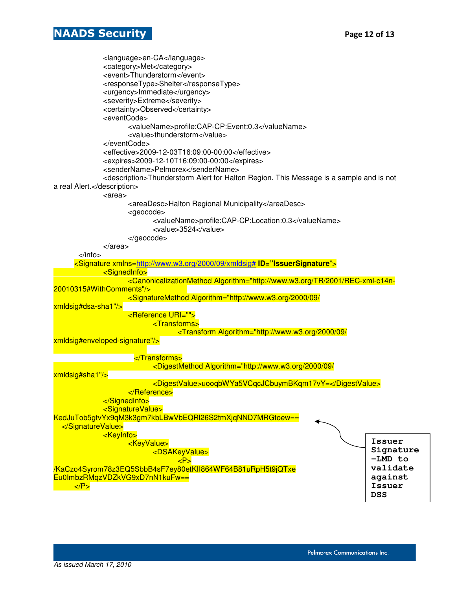#### **NAADS Security Page 12 of 13**

Ξ

 <language>en-CA</language> <category>Met</category> <event>Thunderstorm</event> <responseType>Shelter</responseType> <urgency>Immediate</urgency> <severity>Extreme</severity> <certainty>Observed</certainty> <eventCode> <valueName>profile:CAP-CP:Event:0.3</valueName> <value>thunderstorm</value> </eventCode> <effective>2009-12-03T16:09:00-00:00</effective> <expires>2009-12-10T16:09:00-00:00</expires> <senderName>Pelmorex</senderName> <description>Thunderstorm Alert for Halton Region. This Message is a sample and is not a real Alert.</description> <area> <areaDesc>Halton Regional Municipality</areaDesc> <geocode> <valueName>profile:CAP-CP:Location:0.3</valueName> <value>3524</value> </geocode> </area> </info> <Signature xmlns=http://www.w3.org/2000/09/xmldsig# **ID="IssuerSignature**"> <SignedInfo> <CanonicalizationMethod Algorithm="http://www.w3.org/TR/2001/REC-xml-c14n-20010315#WithComments"/> <SignatureMethod Algorithm="http://www.w3.org/2000/09/ xmldsig#dsa-sha1"/> <Reference URI=""> <Transforms> <Transform Algorithm="http://www.w3.org/2000/09/ xmldsig#enveloped-signature"/> </Transforms> <DigestMethod Algorithm="http://www.w3.org/2000/09/ xmldsig#sha1"/> <DigestValue>uooqbWYa5VCqcJCbuymBKqm17vY=</DigestValue> </Reference> </SignedInfo> <SignatureValue> KedJuTob5gtvYx9qM3k3gm7kbLBwVbEQRl26S2tmXjqNND7MRGtoew== </SignatureValue> <KeyInfo> <KeyValue> <DSAKeyValue> <mark>a sebagai kacamatan ing Kabupatèn Sumawara, KP></mark> /KaCzo4Syrom78z3EQ5SbbB4sF7ey80etKII864WF64B81uRpH5t9jQTxe Eu0ImbzRMqzVDZkVG9xD7nN1kuFw==  $\langle P \rangle$ **Issuer Signature –LMD to validate against Issuer DSS**